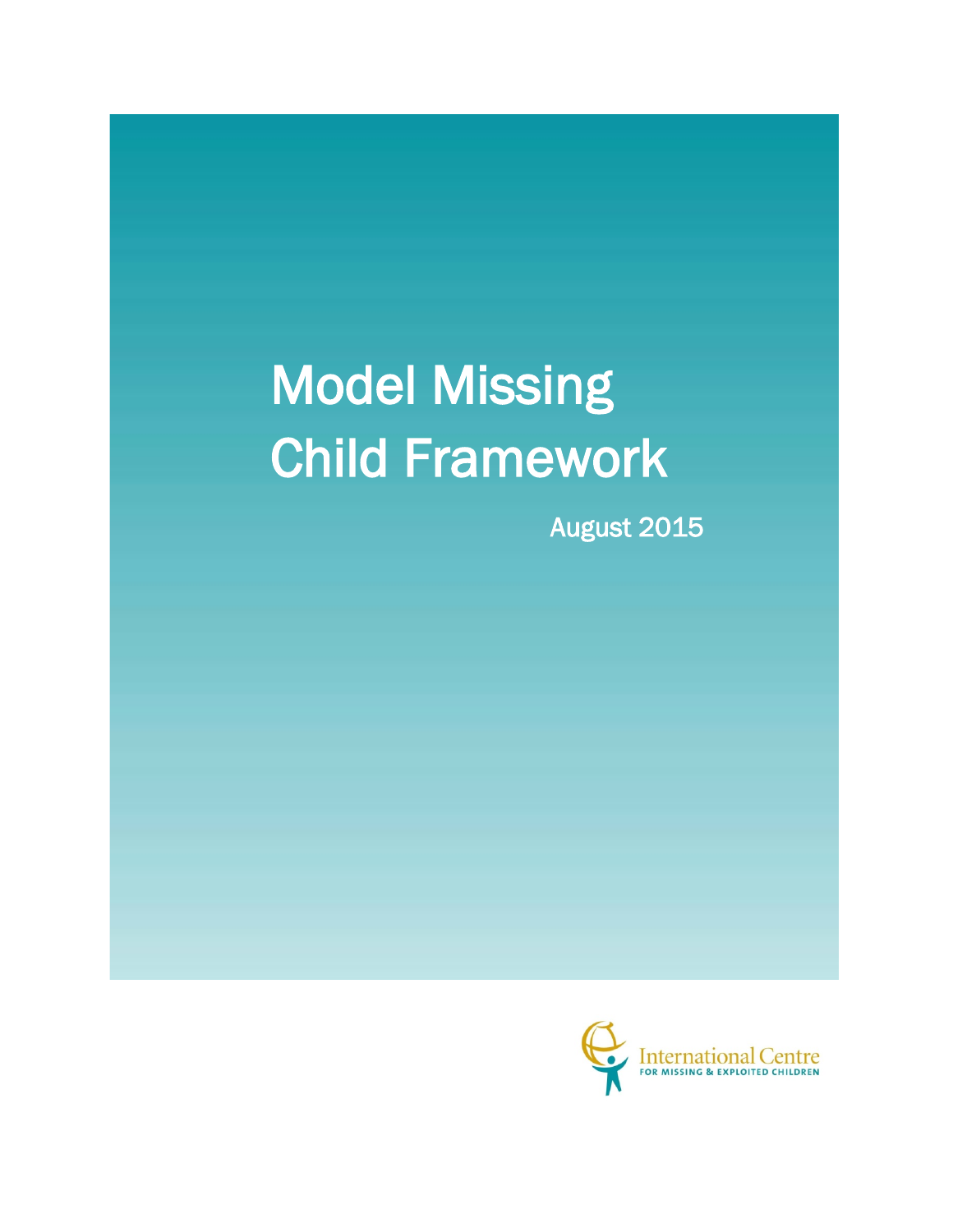# Model Missing Child Framework

August 2015

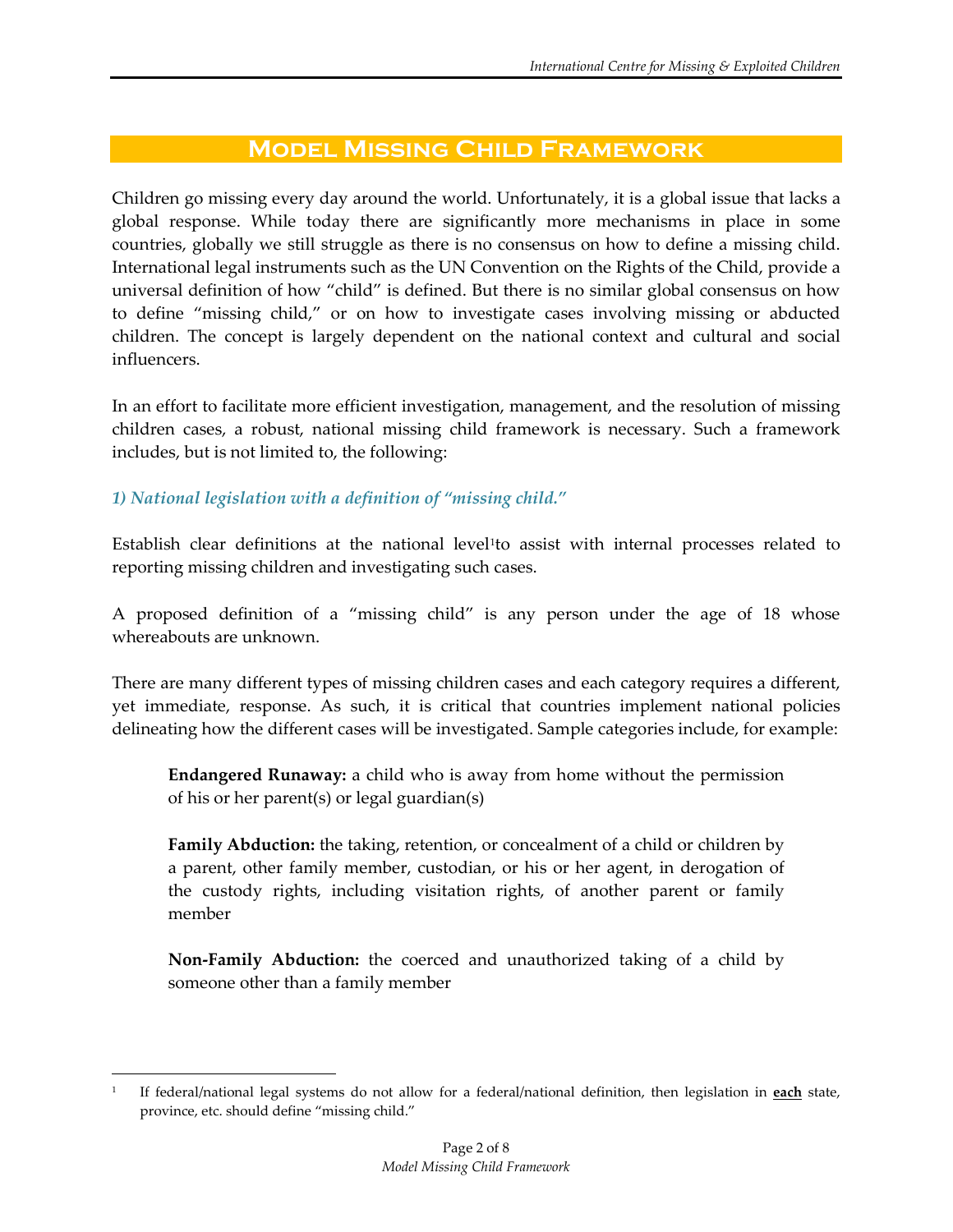# **Model Missing Child Framework**

Children go missing every day around the world. Unfortunately, it is a global issue that lacks a global response. While today there are significantly more mechanisms in place in some countries, globally we still struggle as there is no consensus on how to define a missing child. International legal instruments such as the UN Convention on the Rights of the Child, provide a universal definition of how "child" is defined. But there is no similar global consensus on how to define "missing child," or on how to investigate cases involving missing or abducted children. The concept is largely dependent on the national context and cultural and social influencers.

In an effort to facilitate more efficient investigation, management, and the resolution of missing children cases, a robust, national missing child framework is necessary. Such a framework includes, but is not limited to, the following:

## *1) National legislation with a definition of "missing child."*

 $\overline{a}$ 

Establish clear definitions at the national level<sup>[1](#page-1-0)</sup>to assist with internal processes related to reporting missing children and investigating such cases.

A proposed definition of a "missing child" is any person under the age of 18 whose whereabouts are unknown.

There are many different types of missing children cases and each category requires a different, yet immediate, response. As such, it is critical that countries implement national policies delineating how the different cases will be investigated. Sample categories include, for example:

**Endangered Runaway:** a child who is away from home without the permission of his or her parent(s) or legal guardian(s)

**Family Abduction:** the taking, retention, or concealment of a child or children by a parent, other family member, custodian, or his or her agent, in derogation of the custody rights, including visitation rights, of another parent or family member

**Non-Family Abduction:** the coerced and unauthorized taking of a child by someone other than a family member

<span id="page-1-0"></span><sup>1</sup> If federal/national legal systems do not allow for a federal/national definition, then legislation in **each** state, province, etc. should define "missing child."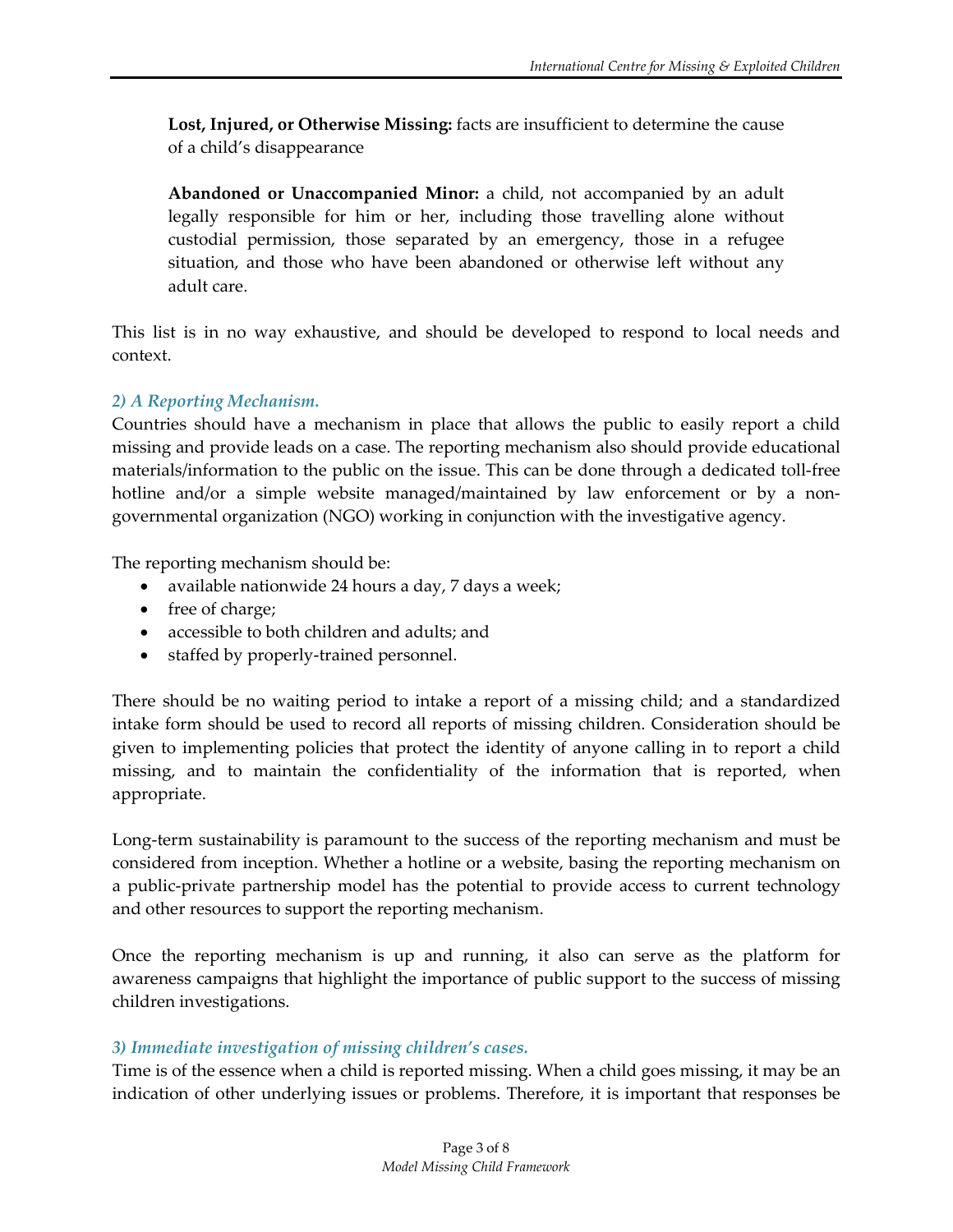**Lost, Injured, or Otherwise Missing:** facts are insufficient to determine the cause of a child's disappearance

**Abandoned or Unaccompanied Minor:** a child, not accompanied by an adult legally responsible for him or her, including those travelling alone without custodial permission, those separated by an emergency, those in a refugee situation, and those who have been abandoned or otherwise left without any adult care.

This list is in no way exhaustive, and should be developed to respond to local needs and context.

# *2) A Reporting Mechanism.*

Countries should have a mechanism in place that allows the public to easily report a child missing and provide leads on a case. The reporting mechanism also should provide educational materials/information to the public on the issue. This can be done through a dedicated toll-free hotline and/or a simple website managed/maintained by law enforcement or by a nongovernmental organization (NGO) working in conjunction with the investigative agency.

The reporting mechanism should be:

- available nationwide 24 hours a day, 7 days a week;
- free of charge;
- accessible to both children and adults; and
- staffed by properly-trained personnel.

There should be no waiting period to intake a report of a missing child; and a standardized intake form should be used to record all reports of missing children. Consideration should be given to implementing policies that protect the identity of anyone calling in to report a child missing, and to maintain the confidentiality of the information that is reported, when appropriate.

Long-term sustainability is paramount to the success of the reporting mechanism and must be considered from inception. Whether a hotline or a website, basing the reporting mechanism on a public-private partnership model has the potential to provide access to current technology and other resources to support the reporting mechanism.

Once the reporting mechanism is up and running, it also can serve as the platform for awareness campaigns that highlight the importance of public support to the success of missing children investigations.

# *3) Immediate investigation of missing children's cases.*

Time is of the essence when a child is reported missing. When a child goes missing, it may be an indication of other underlying issues or problems. Therefore, it is important that responses be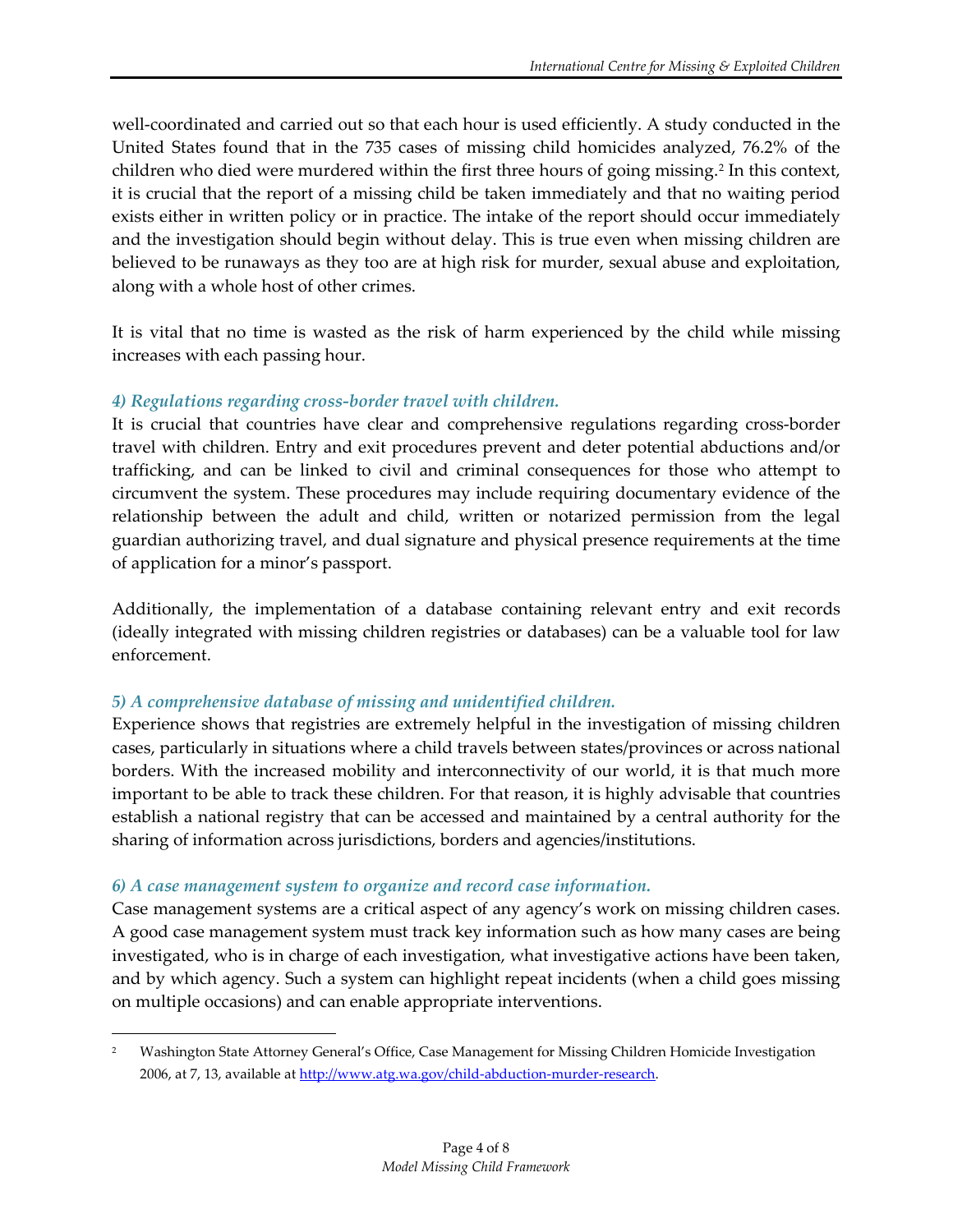well-coordinated and carried out so that each hour is used efficiently. A study conducted in the United States found that in the 735 cases of missing child homicides analyzed, 76.2% of the children who died were murdered within the first three hours of going missing.[2](#page-3-0) In this context, it is crucial that the report of a missing child be taken immediately and that no waiting period exists either in written policy or in practice. The intake of the report should occur immediately and the investigation should begin without delay. This is true even when missing children are believed to be runaways as they too are at high risk for murder, sexual abuse and exploitation, along with a whole host of other crimes.

It is vital that no time is wasted as the risk of harm experienced by the child while missing increases with each passing hour.

#### *4) Regulations regarding cross-border travel with children.*

It is crucial that countries have clear and comprehensive regulations regarding cross-border travel with children. Entry and exit procedures prevent and deter potential abductions and/or trafficking, and can be linked to civil and criminal consequences for those who attempt to circumvent the system. These procedures may include requiring documentary evidence of the relationship between the adult and child, written or notarized permission from the legal guardian authorizing travel, and dual signature and physical presence requirements at the time of application for a minor's passport.

Additionally, the implementation of a database containing relevant entry and exit records (ideally integrated with missing children registries or databases) can be a valuable tool for law enforcement.

#### *5) A comprehensive database of missing and unidentified children.*

Experience shows that registries are extremely helpful in the investigation of missing children cases, particularly in situations where a child travels between states/provinces or across national borders. With the increased mobility and interconnectivity of our world, it is that much more important to be able to track these children. For that reason, it is highly advisable that countries establish a national registry that can be accessed and maintained by a central authority for the sharing of information across jurisdictions, borders and agencies/institutions.

#### *6) A case management system to organize and record case information.*

l

Case management systems are a critical aspect of any agency's work on missing children cases. A good case management system must track key information such as how many cases are being investigated, who is in charge of each investigation, what investigative actions have been taken, and by which agency. Such a system can highlight repeat incidents (when a child goes missing on multiple occasions) and can enable appropriate interventions.

<span id="page-3-0"></span><sup>2</sup> Washington State Attorney General's Office, Case Management for Missing Children Homicide Investigation 2006, at 7, 13, available at [http://www.atg.wa.gov/child-abduction-murder-research.](http://www.atg.wa.gov/child-abduction-murder-research)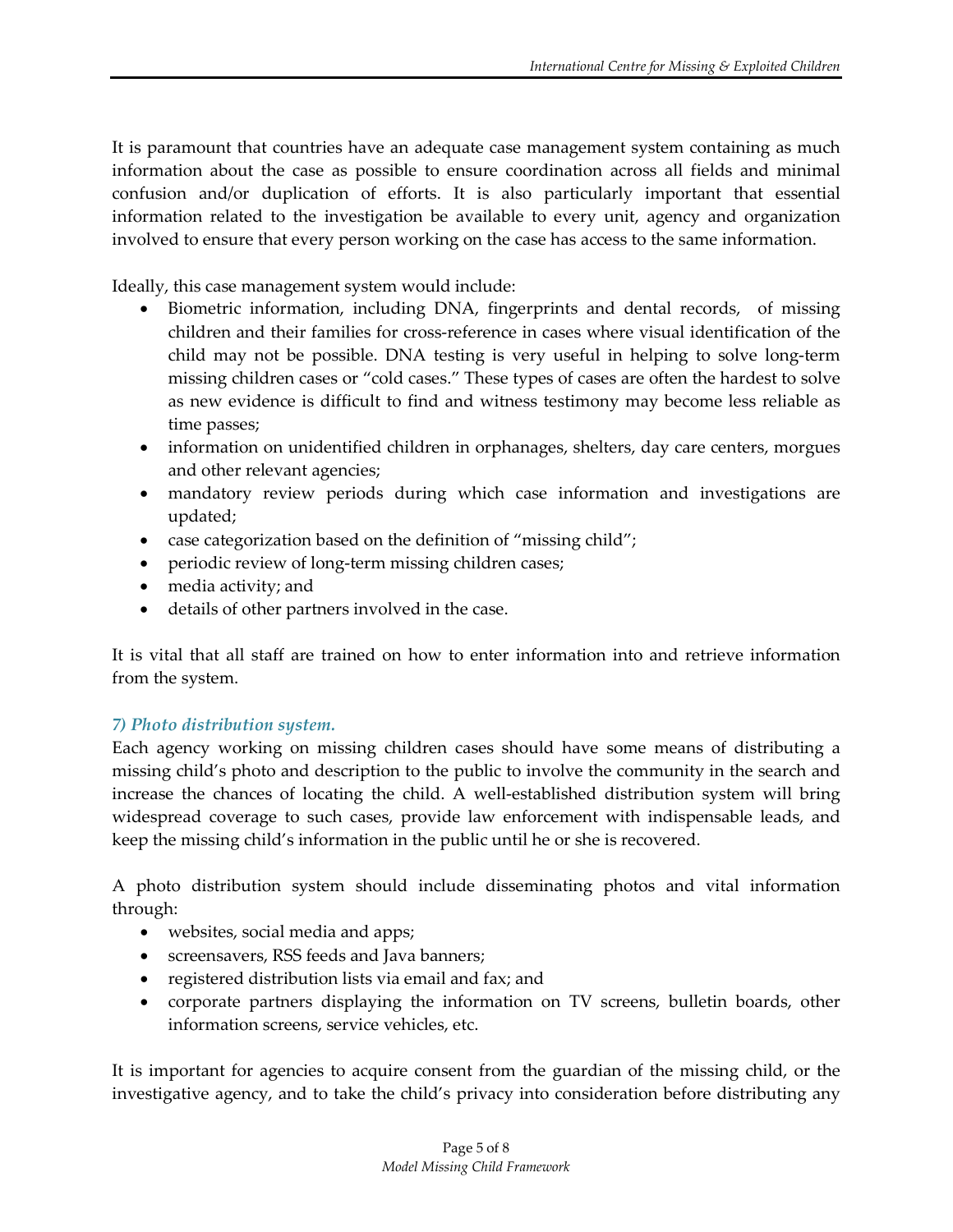It is paramount that countries have an adequate case management system containing as much information about the case as possible to ensure coordination across all fields and minimal confusion and/or duplication of efforts. It is also particularly important that essential information related to the investigation be available to every unit, agency and organization involved to ensure that every person working on the case has access to the same information.

Ideally, this case management system would include:

- Biometric information, including DNA, fingerprints and dental records, of missing children and their families for cross-reference in cases where visual identification of the child may not be possible. DNA testing is very useful in helping to solve long-term missing children cases or "cold cases." These types of cases are often the hardest to solve as new evidence is difficult to find and witness testimony may become less reliable as time passes;
- information on unidentified children in orphanages, shelters, day care centers, morgues and other relevant agencies;
- mandatory review periods during which case information and investigations are updated;
- case categorization based on the definition of "missing child";
- periodic review of long-term missing children cases;
- media activity; and
- details of other partners involved in the case.

It is vital that all staff are trained on how to enter information into and retrieve information from the system.

## *7) Photo distribution system.*

Each agency working on missing children cases should have some means of distributing a missing child's photo and description to the public to involve the community in the search and increase the chances of locating the child. A well-established distribution system will bring widespread coverage to such cases, provide law enforcement with indispensable leads, and keep the missing child's information in the public until he or she is recovered.

A photo distribution system should include disseminating photos and vital information through:

- websites, social media and apps;
- screensavers, RSS feeds and Java banners;
- registered distribution lists via email and fax; and
- corporate partners displaying the information on TV screens, bulletin boards, other information screens, service vehicles, etc.

It is important for agencies to acquire consent from the guardian of the missing child, or the investigative agency, and to take the child's privacy into consideration before distributing any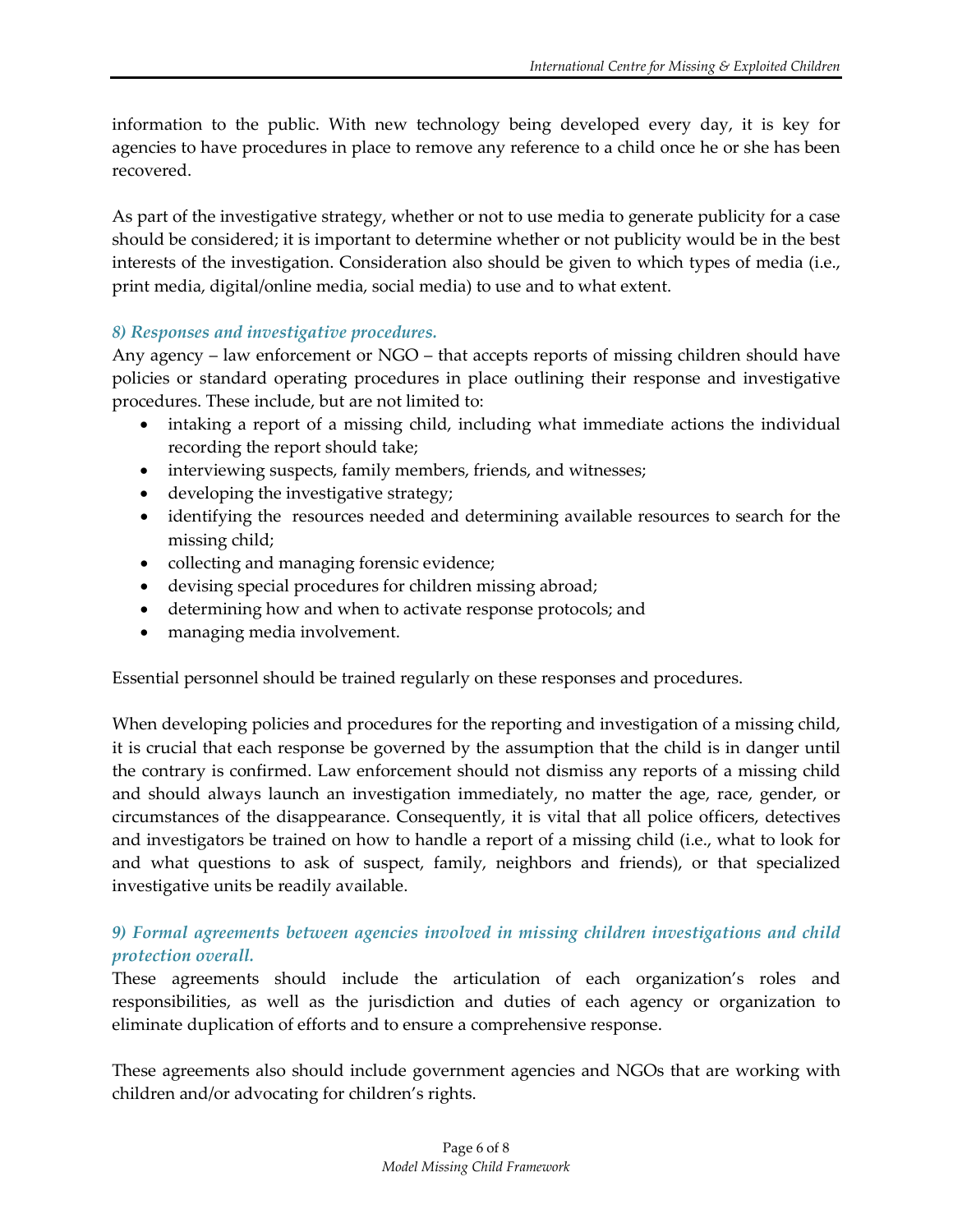information to the public. With new technology being developed every day, it is key for agencies to have procedures in place to remove any reference to a child once he or she has been recovered.

As part of the investigative strategy, whether or not to use media to generate publicity for a case should be considered; it is important to determine whether or not publicity would be in the best interests of the investigation. Consideration also should be given to which types of media (i.e., print media, digital/online media, social media) to use and to what extent.

## *8) Responses and investigative procedures.*

Any agency – law enforcement or NGO – that accepts reports of missing children should have policies or standard operating procedures in place outlining their response and investigative procedures. These include, but are not limited to:

- intaking a report of a missing child, including what immediate actions the individual recording the report should take;
- interviewing suspects, family members, friends, and witnesses;
- developing the investigative strategy;
- identifying the resources needed and determining available resources to search for the missing child;
- collecting and managing forensic evidence;
- devising special procedures for children missing abroad;
- determining how and when to activate response protocols; and
- managing media involvement.

Essential personnel should be trained regularly on these responses and procedures.

When developing policies and procedures for the reporting and investigation of a missing child, it is crucial that each response be governed by the assumption that the child is in danger until the contrary is confirmed. Law enforcement should not dismiss any reports of a missing child and should always launch an investigation immediately, no matter the age, race, gender, or circumstances of the disappearance. Consequently, it is vital that all police officers, detectives and investigators be trained on how to handle a report of a missing child (i.e., what to look for and what questions to ask of suspect, family, neighbors and friends), or that specialized investigative units be readily available.

# *9) Formal agreements between agencies involved in missing children investigations and child protection overall.*

These agreements should include the articulation of each organization's roles and responsibilities, as well as the jurisdiction and duties of each agency or organization to eliminate duplication of efforts and to ensure a comprehensive response.

These agreements also should include government agencies and NGOs that are working with children and/or advocating for children's rights.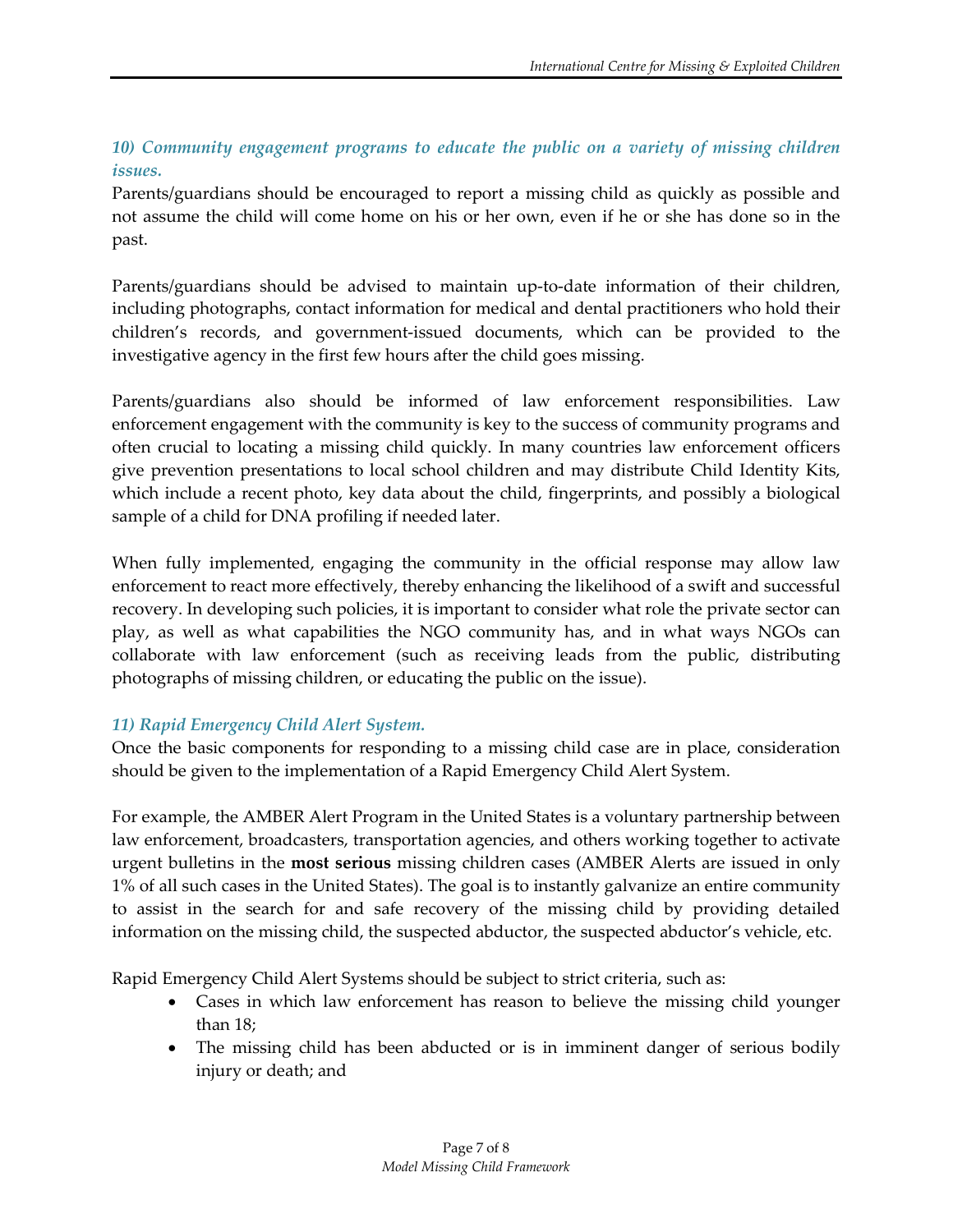# *10) Community engagement programs to educate the public on a variety of missing children issues.*

Parents/guardians should be encouraged to report a missing child as quickly as possible and not assume the child will come home on his or her own, even if he or she has done so in the past.

Parents/guardians should be advised to maintain up-to-date information of their children, including photographs, contact information for medical and dental practitioners who hold their children's records, and government-issued documents, which can be provided to the investigative agency in the first few hours after the child goes missing.

Parents/guardians also should be informed of law enforcement responsibilities. Law enforcement engagement with the community is key to the success of community programs and often crucial to locating a missing child quickly. In many countries law enforcement officers give prevention presentations to local school children and may distribute Child Identity Kits, which include a recent photo, key data about the child, fingerprints, and possibly a biological sample of a child for DNA profiling if needed later.

When fully implemented, engaging the community in the official response may allow law enforcement to react more effectively, thereby enhancing the likelihood of a swift and successful recovery. In developing such policies, it is important to consider what role the private sector can play, as well as what capabilities the NGO community has, and in what ways NGOs can collaborate with law enforcement (such as receiving leads from the public, distributing photographs of missing children, or educating the public on the issue).

# *11) Rapid Emergency Child Alert System.*

Once the basic components for responding to a missing child case are in place, consideration should be given to the implementation of a Rapid Emergency Child Alert System.

For example, the AMBER Alert Program in the United States is a voluntary partnership between law enforcement, broadcasters, transportation agencies, and others working together to activate urgent bulletins in the **most serious** missing children cases (AMBER Alerts are issued in only 1% of all such cases in the United States). The goal is to instantly galvanize an entire community to assist in the search for and safe recovery of the missing child by providing detailed information on the missing child, the suspected abductor, the suspected abductor's vehicle, etc.

Rapid Emergency Child Alert Systems should be subject to strict criteria, such as:

- Cases in which law enforcement has reason to believe the missing child younger than 18;
- The missing child has been abducted or is in imminent danger of serious bodily injury or death; and